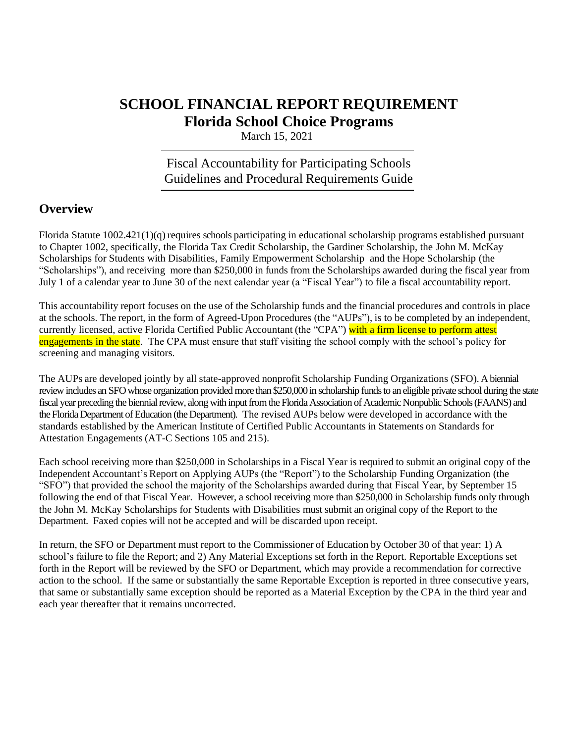# **SCHOOL FINANCIAL REPORT REQUIREMENT Florida School Choice Programs**

March 15, 2021

## Fiscal Accountability for Participating Schools Guidelines and Procedural Requirements Guide

## **Overview**

Florida Statute 1002.421(1)(q) requires schools participating in educational scholarship programs established pursuant to Chapter 1002, specifically, the Florida Tax Credit Scholarship, the Gardiner Scholarship, the John M. McKay Scholarships for Students with Disabilities, Family Empowerment Scholarship and the Hope Scholarship (the "Scholarships"), and receiving more than \$250,000 in funds from the Scholarships awarded during the fiscal year from July 1 of a calendar year to June 30 of the next calendar year (a "Fiscal Year") to file a fiscal accountability report.

This accountability report focuses on the use of the Scholarship funds and the financial procedures and controls in place at the schools. The report, in the form of Agreed-Upon Procedures (the "AUPs"), is to be completed by an independent, currently licensed, active Florida Certified Public Accountant (the "CPA") with a firm license to perform attest engagements in the state. The CPA must ensure that staff visiting the school comply with the school's policy for screening and managing visitors.

The AUPs are developed jointly by all state-approved nonprofit Scholarship Funding Organizations (SFO). A biennial review includes an SFO whose organization provided more than \$250,000 in scholarship funds to an eligible private school during the state fiscal year preceding the biennial review, along with input from the Florida Association of Academic Nonpublic Schools (FAANS) and the Florida Department of Education (the Department). The revised AUPs below were developed in accordance with the standards established by the American Institute of Certified Public Accountants in Statements on Standards for Attestation Engagements (AT-C Sections 105 and 215).

Each school receiving more than \$250,000 in Scholarships in a Fiscal Year is required to submit an original copy of the Independent Accountant's Report on Applying AUPs (the "Report") to the Scholarship Funding Organization (the "SFO") that provided the school the majority of the Scholarships awarded during that Fiscal Year, by September 15 following the end of that Fiscal Year. However, a school receiving more than \$250,000 in Scholarship funds only through the John M. McKay Scholarships for Students with Disabilities must submit an original copy of the Report to the Department. Faxed copies will not be accepted and will be discarded upon receipt.

In return, the SFO or Department must report to the Commissioner of Education by October 30 of that year: 1) A school's failure to file the Report; and 2) Any Material Exceptions set forth in the Report. Reportable Exceptions set forth in the Report will be reviewed by the SFO or Department, which may provide a recommendation for corrective action to the school. If the same or substantially the same Reportable Exception is reported in three consecutive years, that same or substantially same exception should be reported as a Material Exception by the CPA in the third year and each year thereafter that it remains uncorrected.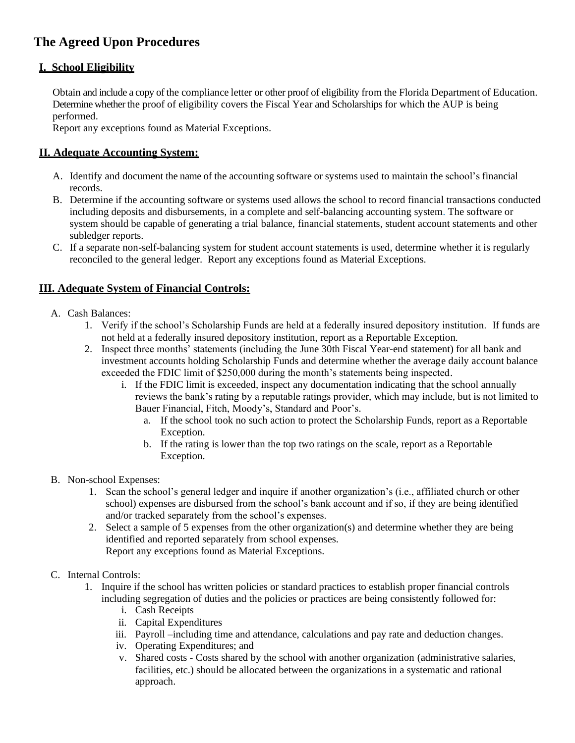## **The Agreed Upon Procedures**

## **I. School Eligibility**

Obtain and include a copy of the compliance letter or other proof of eligibility from the Florida Department of Education. Determine whether the proof of eligibility covers the Fiscal Year and Scholarships for which the AUP is being performed.

Report any exceptions found as Material Exceptions.

## **II. Adequate Accounting System:**

- A. Identify and document the name of the accounting software or systems used to maintain the school's financial records.
- B. Determine if the accounting software or systems used allows the school to record financial transactions conducted including deposits and disbursements, in a complete and self-balancing accounting system. The software or system should be capable of generating a trial balance, financial statements, student account statements and other subledger reports.
- C. If a separate non-self-balancing system for student account statements is used, determine whether it is regularly reconciled to the general ledger. Report any exceptions found as Material Exceptions.

## **III. Adequate System of Financial Controls:**

- A. Cash Balances:
	- 1. Verify if the school's Scholarship Funds are held at a federally insured depository institution. If funds are not held at a federally insured depository institution, report as a Reportable Exception.
	- 2. Inspect three months' statements (including the June 30th Fiscal Year-end statement) for all bank and investment accounts holding Scholarship Funds and determine whether the average daily account balance exceeded the FDIC limit of \$250,000 during the month's statements being inspected.
		- i. If the FDIC limit is exceeded, inspect any documentation indicating that the school annually reviews the bank's rating by a reputable ratings provider, which may include, but is not limited to Bauer Financial, Fitch, Moody's, Standard and Poor's.
			- a. If the school took no such action to protect the Scholarship Funds, report as a Reportable Exception.
			- b. If the rating is lower than the top two ratings on the scale, report as a Reportable Exception.
- B. Non-school Expenses:
	- 1. Scan the school's general ledger and inquire if another organization's (i.e., affiliated church or other school) expenses are disbursed from the school's bank account and if so, if they are being identified and/or tracked separately from the school's expenses.
	- 2. Select a sample of 5 expenses from the other organization(s) and determine whether they are being identified and reported separately from school expenses. Report any exceptions found as Material Exceptions.

### C. Internal Controls:

- 1. Inquire if the school has written policies or standard practices to establish proper financial controls including segregation of duties and the policies or practices are being consistently followed for:
	- i. Cash Receipts
	- ii. Capital Expenditures
	- iii. Payroll –including time and attendance, calculations and pay rate and deduction changes.
	- iv. Operating Expenditures; and
	- v. Shared costs Costs shared by the school with another organization (administrative salaries, facilities, etc.) should be allocated between the organizations in a systematic and rational approach.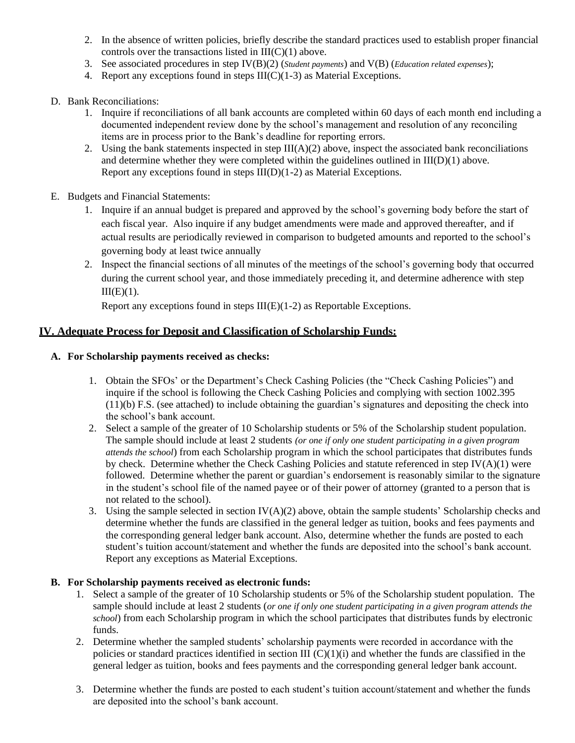- 2. In the absence of written policies, briefly describe the standard practices used to establish proper financial controls over the transactions listed in  $III(C)(1)$  above.
- 3. See associated procedures in step IV(B)(2) (*Student payments*) and V(B) (*Education related expenses*);
- 4. Report any exceptions found in steps  $III(C)(1-3)$  as Material Exceptions.
- D. Bank Reconciliations:
	- 1. Inquire if reconciliations of all bank accounts are completed within 60 days of each month end including a documented independent review done by the school's management and resolution of any reconciling items are in process prior to the Bank's deadline for reporting errors.
	- 2. Using the bank statements inspected in step  $III(A)(2)$  above, inspect the associated bank reconciliations and determine whether they were completed within the guidelines outlined in III(D)(1) above. Report any exceptions found in steps III(D)(1-2) as Material Exceptions.
- E. Budgets and Financial Statements:
	- 1. Inquire if an annual budget is prepared and approved by the school's governing body before the start of each fiscal year. Also inquire if any budget amendments were made and approved thereafter, and if actual results are periodically reviewed in comparison to budgeted amounts and reported to the school's governing body at least twice annually
	- 2. Inspect the financial sections of all minutes of the meetings of the school's governing body that occurred during the current school year, and those immediately preceding it, and determine adherence with step  $III(E)(1)$ .

Report any exceptions found in steps III(E)(1-2) as Reportable Exceptions.

#### **IV. Adequate Process for Deposit and Classification of Scholarship Funds:**

#### **A. For Scholarship payments received as checks:**

- 1. Obtain the SFOs' or the Department's Check Cashing Policies (the "Check Cashing Policies") and inquire if the school is following the Check Cashing Policies and complying with section 1002.395 (11)(b) F.S. (see attached) to include obtaining the guardian's signatures and depositing the check into the school's bank account.
- 2. Select a sample of the greater of 10 Scholarship students or 5% of the Scholarship student population. The sample should include at least 2 students *(or one if only one student participating in a given program attends the school*) from each Scholarship program in which the school participates that distributes funds by check. Determine whether the Check Cashing Policies and statute referenced in step IV(A)(1) were followed. Determine whether the parent or guardian's endorsement is reasonably similar to the signature in the student's school file of the named payee or of their power of attorney (granted to a person that is not related to the school).
- 3. Using the sample selected in section IV(A)(2) above, obtain the sample students' Scholarship checks and determine whether the funds are classified in the general ledger as tuition, books and fees payments and the corresponding general ledger bank account. Also, determine whether the funds are posted to each student's tuition account/statement and whether the funds are deposited into the school's bank account. Report any exceptions as Material Exceptions.

#### **B. For Scholarship payments received as electronic funds:**

- 1. Select a sample of the greater of 10 Scholarship students or 5% of the Scholarship student population. The sample should include at least 2 students (*or one if only one student participating in a given program attends the school*) from each Scholarship program in which the school participates that distributes funds by electronic funds.
- 2. Determine whether the sampled students' scholarship payments were recorded in accordance with the policies or standard practices identified in section III  $(C)(1)(i)$  and whether the funds are classified in the general ledger as tuition, books and fees payments and the corresponding general ledger bank account.
- 3. Determine whether the funds are posted to each student's tuition account/statement and whether the funds are deposited into the school's bank account.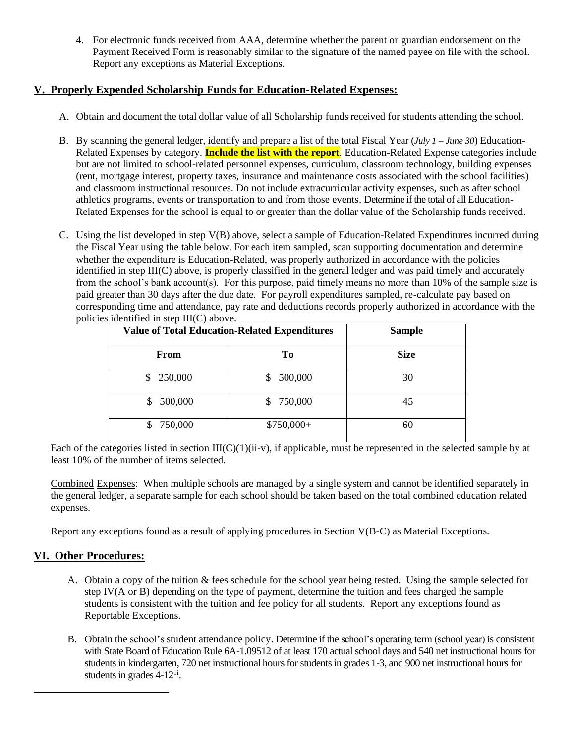4. For electronic funds received from AAA, determine whether the parent or guardian endorsement on the Payment Received Form is reasonably similar to the signature of the named payee on file with the school. Report any exceptions as Material Exceptions.

### **V. Properly Expended Scholarship Funds for Education-Related Expenses:**

- A. Obtain and document the total dollar value of all Scholarship funds received for students attending the school.
- B. By scanning the general ledger, identify and prepare a list of the total Fiscal Year (*July 1 – June 30*) Education-Related Expenses by category. **Include the list with the report**. Education-Related Expense categories include but are not limited to school-related personnel expenses, curriculum, classroom technology, building expenses (rent, mortgage interest, property taxes, insurance and maintenance costs associated with the school facilities) and classroom instructional resources. Do not include extracurricular activity expenses, such as after school athletics programs, events or transportation to and from those events. Determine if the total of all Education-Related Expenses for the school is equal to or greater than the dollar value of the Scholarship funds received.
- C. Using the list developed in step V(B) above, select a sample of Education-Related Expenditures incurred during the Fiscal Year using the table below. For each item sampled, scan supporting documentation and determine whether the expenditure is Education-Related, was properly authorized in accordance with the policies identified in step III(C) above, is properly classified in the general ledger and was paid timely and accurately from the school's bank account(s). For this purpose, paid timely means no more than 10% of the sample size is paid greater than 30 days after the due date. For payroll expenditures sampled, re-calculate pay based on corresponding time and attendance, pay rate and deductions records properly authorized in accordance with the policies identified in step III(C) above.

| <b>Value of Total Education-Related Expenditures</b> |               | <b>Sample</b> |
|------------------------------------------------------|---------------|---------------|
| <b>From</b>                                          | Tо            | <b>Size</b>   |
| 250,000<br>\$                                        | 500,000<br>S. | 30            |
| 500,000                                              | \$750,000     | 45            |
| 750,000                                              | \$750,000+    | 60            |

Each of the categories listed in section  $III(C)(1)(ii-v)$ , if applicable, must be represented in the selected sample by at least 10% of the number of items selected.

Combined Expenses: When multiple schools are managed by a single system and cannot be identified separately in the general ledger, a separate sample for each school should be taken based on the total combined education related expenses.

Report any exceptions found as a result of applying procedures in Section V(B-C) as Material Exceptions.

### **VI. Other Procedures:**

- A. Obtain a copy of the tuition & fees schedule for the school year being tested. Using the sample selected for step IV(A or B) depending on the type of payment, determine the tuition and fees charged the sample students is consistent with the tuition and fee policy for all students. Report any exceptions found as Reportable Exceptions.
- B. Obtain the school's student attendance policy. Determine if the school's operating term (school year) is consistent with State Board of Education Rule 6A-1.09512 of at least 170 actual school days and 540 net instructional hours for students in kindergarten, 720 net instructional hours for students in grades 1-3, and 900 net instructional hours for students in grades  $4-12^{1i}$ .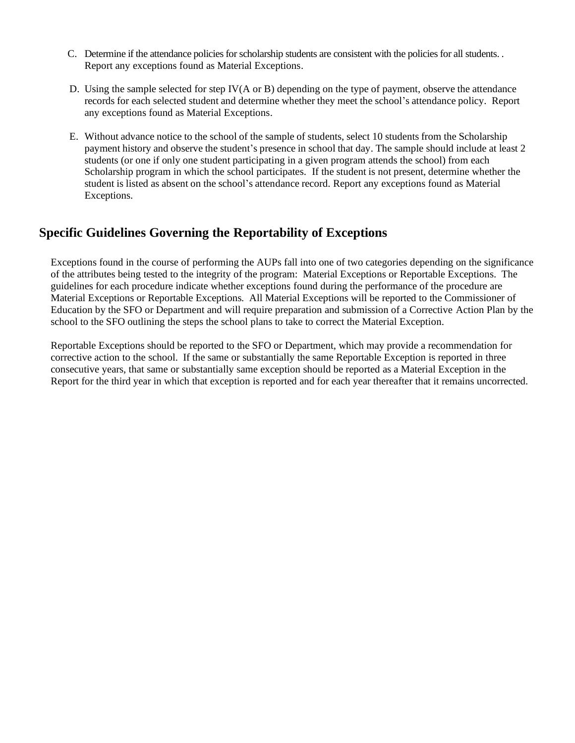- C. Determine if the attendance policies for scholarship students are consistent with the policies for all students. . Report any exceptions found as Material Exceptions.
- D. Using the sample selected for step IV(A or B) depending on the type of payment, observe the attendance records for each selected student and determine whether they meet the school's attendance policy. Report any exceptions found as Material Exceptions.
- E. Without advance notice to the school of the sample of students, select 10 students from the Scholarship payment history and observe the student's presence in school that day. The sample should include at least 2 students (or one if only one student participating in a given program attends the school) from each Scholarship program in which the school participates. If the student is not present, determine whether the student is listed as absent on the school's attendance record. Report any exceptions found as Material Exceptions.

## **Specific Guidelines Governing the Reportability of Exceptions**

Exceptions found in the course of performing the AUPs fall into one of two categories depending on the significance of the attributes being tested to the integrity of the program: Material Exceptions or Reportable Exceptions. The guidelines for each procedure indicate whether exceptions found during the performance of the procedure are Material Exceptions or Reportable Exceptions. All Material Exceptions will be reported to the Commissioner of Education by the SFO or Department and will require preparation and submission of a Corrective Action Plan by the school to the SFO outlining the steps the school plans to take to correct the Material Exception.

Reportable Exceptions should be reported to the SFO or Department, which may provide a recommendation for corrective action to the school. If the same or substantially the same Reportable Exception is reported in three consecutive years, that same or substantially same exception should be reported as a Material Exception in the Report for the third year in which that exception is reported and for each year thereafter that it remains uncorrected.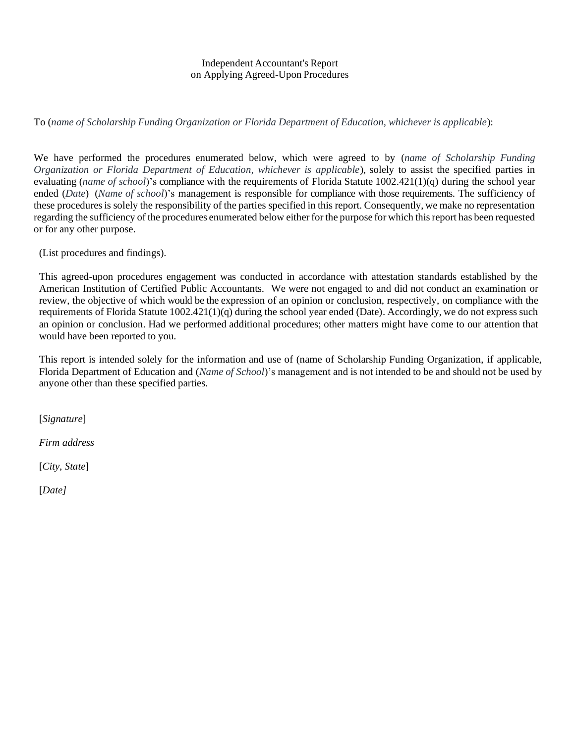#### Independent Accountant's Report on Applying Agreed-Upon Procedures

To (*name of Scholarship Funding Organization or Florida Department of Education, whichever is applicable*):

We have performed the procedures enumerated below, which were agreed to by (*name of Scholarship Funding Organization or Florida Department of Education, whichever is applicable*), solely to assist the specified parties in evaluating (*name of school*)'s compliance with the requirements of Florida Statute 1002.421(1)(q) during the school year ended (*Date*) (*Name of school*)'s management is responsible for compliance with those requirements. The sufficiency of these proceduresis solely the responsibility of the parties specified in this report. Consequently, we make no representation regarding the sufficiency of the procedures enumerated below either for the purpose for which thisreport has been requested or for any other purpose.

(List procedures and findings).

This agreed-upon procedures engagement was conducted in accordance with attestation standards established by the American Institution of Certified Public Accountants. We were not engaged to and did not conduct an examination or review, the objective of which would be the expression of an opinion or conclusion, respectively, on compliance with the requirements of Florida Statute 1002.421(1)(q) during the school year ended (Date). Accordingly, we do not express such an opinion or conclusion. Had we performed additional procedures; other matters might have come to our attention that would have been reported to you.

This report is intended solely for the information and use of (name of Scholarship Funding Organization, if applicable, Florida Department of Education and (*Name of School*)'s management and is not intended to be and should not be used by anyone other than these specified parties.

[*Signature*]

*Firm address*

[*City*, *State*]

[*Date]*